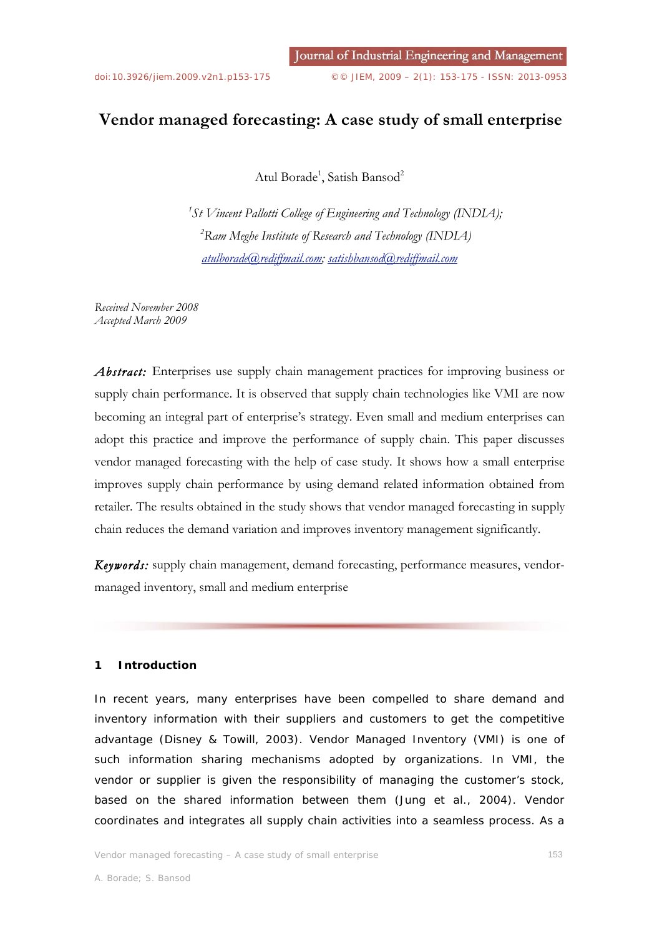# **Vendor managed forecasting: A case study of small enterprise**

Atul Borade<sup>1</sup>, Satish Bansod<sup>2</sup>

*1 St Vincent Pallotti College of Engineering and Technology (INDIA); 2 Ram Meghe Institute of Research and Technology (INDIA) atulborade@rediffmail.com; satishbansod@rediffmail.com*

*Received November 2008 Accepted March 2009* 

Abstract: Enterprises use supply chain management practices for improving business or supply chain performance. It is observed that supply chain technologies like VMI are now becoming an integral part of enterprise's strategy. Even small and medium enterprises can adopt this practice and improve the performance of supply chain. This paper discusses vendor managed forecasting with the help of case study. It shows how a small enterprise improves supply chain performance by using demand related information obtained from retailer. The results obtained in the study shows that vendor managed forecasting in supply chain reduces the demand variation and improves inventory management significantly.

*Keywords:* supply chain management, demand forecasting, performance measures, vendormanaged inventory, small and medium enterprise

## **1 Introduction**

In recent years, many enterprises have been compelled to share demand and inventory information with their suppliers and customers to get the competitive advantage (Disney & Towill, 2003). Vendor Managed Inventory (VMI) is one of such information sharing mechanisms adopted by organizations. In VMI, the vendor or supplier is given the responsibility of managing the customer's stock, based on the shared information between them (Jung et al., 2004). Vendor coordinates and integrates all supply chain activities into a seamless process. As a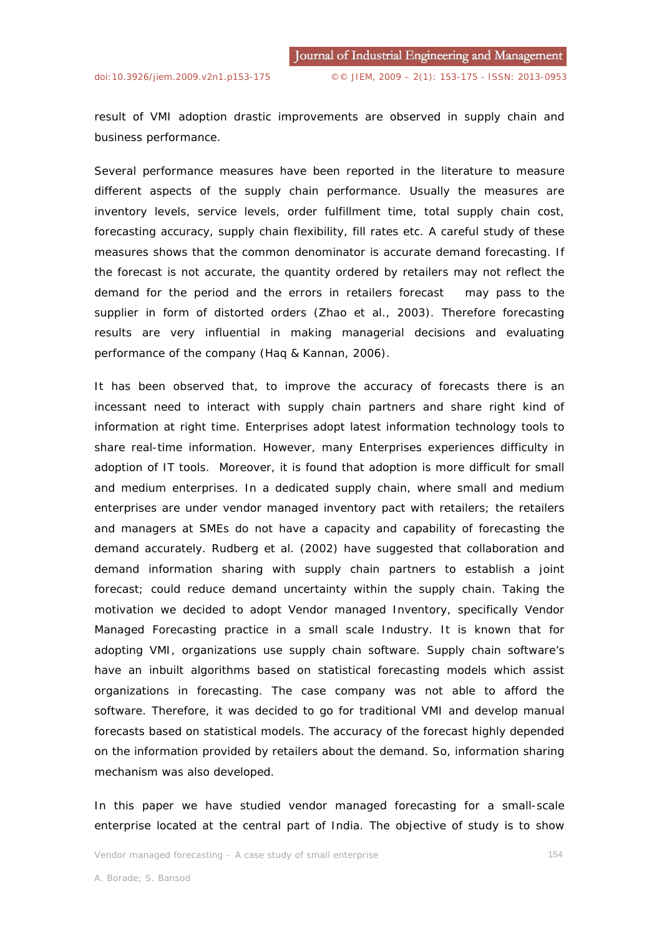result of VMI adoption drastic improvements are observed in supply chain and business performance.

Several performance measures have been reported in the literature to measure different aspects of the supply chain performance. Usually the measures are inventory levels, service levels, order fulfillment time, total supply chain cost, forecasting accuracy, supply chain flexibility, fill rates etc. A careful study of these measures shows that the common denominator is accurate demand forecasting. If the forecast is not accurate, the quantity ordered by retailers may not reflect the demand for the period and the errors in retailers forecast may pass to the supplier in form of distorted orders (Zhao et al., 2003). Therefore forecasting results are very influential in making managerial decisions and evaluating performance of the company (Haq & Kannan, 2006).

It has been observed that, to improve the accuracy of forecasts there is an incessant need to interact with supply chain partners and share right kind of information at right time. Enterprises adopt latest information technology tools to share real-time information. However, many Enterprises experiences difficulty in adoption of IT tools. Moreover, it is found that adoption is more difficult for small and medium enterprises. In a dedicated supply chain, where small and medium enterprises are under vendor managed inventory pact with retailers; the retailers and managers at SMEs do not have a capacity and capability of forecasting the demand accurately. Rudberg et al. (2002) have suggested that collaboration and demand information sharing with supply chain partners to establish a joint forecast; could reduce demand uncertainty within the supply chain. Taking the motivation we decided to adopt Vendor managed Inventory, specifically Vendor Managed Forecasting practice in a small scale Industry. It is known that for adopting VMI, organizations use supply chain software. Supply chain software's have an inbuilt algorithms based on statistical forecasting models which assist organizations in forecasting. The case company was not able to afford the software. Therefore, it was decided to go for traditional VMI and develop manual forecasts based on statistical models. The accuracy of the forecast highly depended on the information provided by retailers about the demand. So, information sharing mechanism was also developed.

In this paper we have studied vendor managed forecasting for a small-scale enterprise located at the central part of India. The objective of study is to show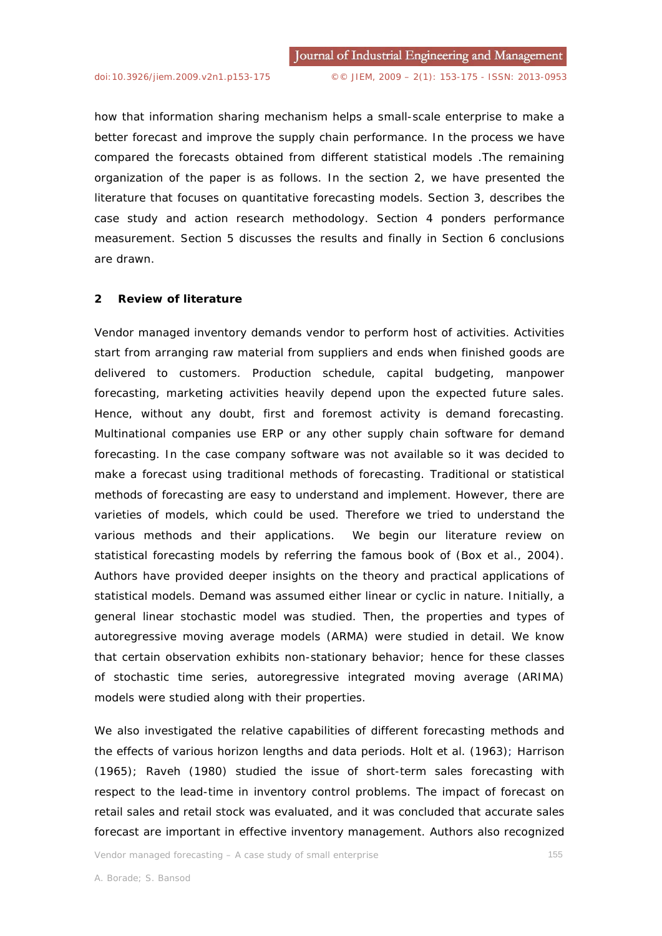how that information sharing mechanism helps a small-scale enterprise to make a better forecast and improve the supply chain performance. In the process we have compared the forecasts obtained from different statistical models .The remaining organization of the paper is as follows. In the section 2, we have presented the literature that focuses on quantitative forecasting models. Section 3, describes the case study and action research methodology. Section 4 ponders performance measurement. Section 5 discusses the results and finally in Section 6 conclusions are drawn.

## **2 Review of literature**

Vendor managed inventory demands vendor to perform host of activities. Activities start from arranging raw material from suppliers and ends when finished goods are delivered to customers. Production schedule, capital budgeting, manpower forecasting, marketing activities heavily depend upon the expected future sales. Hence, without any doubt, first and foremost activity is demand forecasting. Multinational companies use ERP or any other supply chain software for demand forecasting. In the case company software was not available so it was decided to make a forecast using traditional methods of forecasting. Traditional or statistical methods of forecasting are easy to understand and implement. However, there are varieties of models, which could be used. Therefore we tried to understand the various methods and their applications. We begin our literature review on statistical forecasting models by referring the famous book of (Box et al., 2004). Authors have provided deeper insights on the theory and practical applications of statistical models. Demand was assumed either linear or cyclic in nature. Initially, a general linear stochastic model was studied. Then, the properties and types of autoregressive moving average models (ARMA) were studied in detail. We know that certain observation exhibits non-stationary behavior; hence for these classes of stochastic time series, autoregressive integrated moving average (ARIMA) models were studied along with their properties.

We also investigated the relative capabilities of different forecasting methods and the effects of various horizon lengths and data periods. Holt et al. (1963); Harrison (1965); Raveh (1980) studied the issue of short-term sales forecasting with respect to the lead-time in inventory control problems. The impact of forecast on retail sales and retail stock was evaluated, and it was concluded that accurate sales forecast are important in effective inventory management. Authors also recognized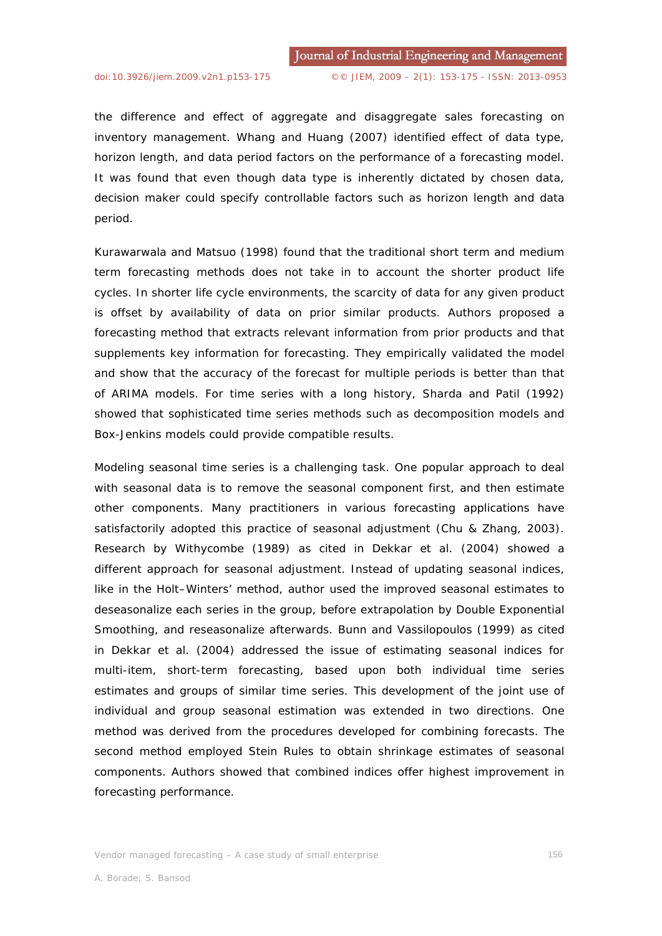the difference and effect of aggregate and disaggregate sales forecasting on inventory management. Whang and Huang (2007) identified effect of data type, horizon length, and data period factors on the performance of a forecasting model. It was found that even though data type is inherently dictated by chosen data, decision maker could specify controllable factors such as horizon length and data period.

Kurawarwala and Matsuo (1998) found that the traditional short term and medium term forecasting methods does not take in to account the shorter product life cycles. In shorter life cycle environments, the scarcity of data for any given product is offset by availability of data on prior similar products. Authors proposed a forecasting method that extracts relevant information from prior products and that supplements key information for forecasting. They empirically validated the model and show that the accuracy of the forecast for multiple periods is better than that of ARIMA models. For time series with a long history, Sharda and Patil (1992) showed that sophisticated time series methods such as decomposition models and Box-Jenkins models could provide compatible results.

Modeling seasonal time series is a challenging task. One popular approach to deal with seasonal data is to remove the seasonal component first, and then estimate other components. Many practitioners in various forecasting applications have satisfactorily adopted this practice of seasonal adjustment (Chu & Zhang, 2003). Research by Withycombe (1989) as cited in Dekkar et al. (2004) showed a different approach for seasonal adjustment. Instead of updating seasonal indices, like in the Holt–Winters' method, author used the improved seasonal estimates to deseasonalize each series in the group, before extrapolation by Double Exponential Smoothing, and reseasonalize afterwards. Bunn and Vassilopoulos (1999) as cited in Dekkar et al. (2004) addressed the issue of estimating seasonal indices for multi-item, short-term forecasting, based upon both individual time series estimates and groups of similar time series. This development of the joint use of individual and group seasonal estimation was extended in two directions. One method was derived from the procedures developed for combining forecasts. The second method employed Stein Rules to obtain shrinkage estimates of seasonal components. Authors showed that combined indices offer highest improvement in forecasting performance.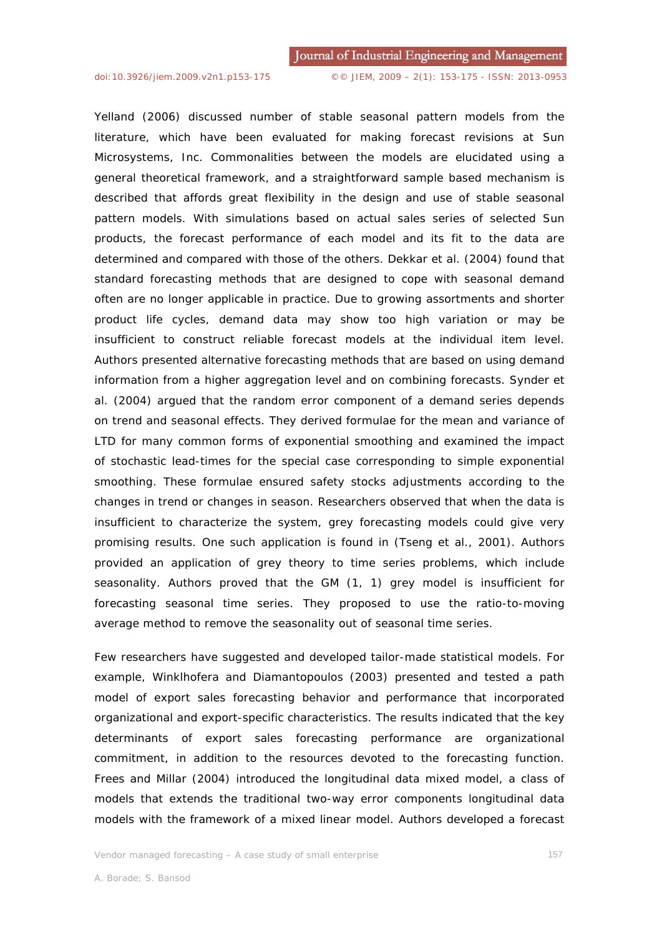Yelland (2006) discussed number of stable seasonal pattern models from the literature, which have been evaluated for making forecast revisions at Sun Microsystems, Inc. Commonalities between the models are elucidated using a general theoretical framework, and a straightforward sample based mechanism is described that affords great flexibility in the design and use of stable seasonal pattern models. With simulations based on actual sales series of selected Sun products, the forecast performance of each model and its fit to the data are determined and compared with those of the others. Dekkar et al. (2004) found that standard forecasting methods that are designed to cope with seasonal demand often are no longer applicable in practice. Due to growing assortments and shorter product life cycles, demand data may show too high variation or may be insufficient to construct reliable forecast models at the individual item level. Authors presented alternative forecasting methods that are based on using demand information from a higher aggregation level and on combining forecasts. Synder et al. (2004) argued that the random error component of a demand series depends on trend and seasonal effects. They derived formulae for the mean and variance of LTD for many common forms of exponential smoothing and examined the impact of stochastic lead-times for the special case corresponding to simple exponential smoothing. These formulae ensured safety stocks adjustments according to the changes in trend or changes in season. Researchers observed that when the data is insufficient to characterize the system, grey forecasting models could give very promising results. One such application is found in (Tseng et al., 2001). Authors provided an application of grey theory to time series problems, which include seasonality. Authors proved that the GM (1, 1) grey model is insufficient for forecasting seasonal time series. They proposed to use the ratio-to-moving average method to remove the seasonality out of seasonal time series.

Few researchers have suggested and developed tailor-made statistical models. For example, Winklhofera and Diamantopoulos (2003) presented and tested a path model of export sales forecasting behavior and performance that incorporated organizational and export-specific characteristics. The results indicated that the key determinants of export sales forecasting performance are organizational commitment, in addition to the resources devoted to the forecasting function. Frees and Millar (2004) introduced the longitudinal data mixed model, a class of models that extends the traditional two-way error components longitudinal data models with the framework of a mixed linear model. Authors developed a forecast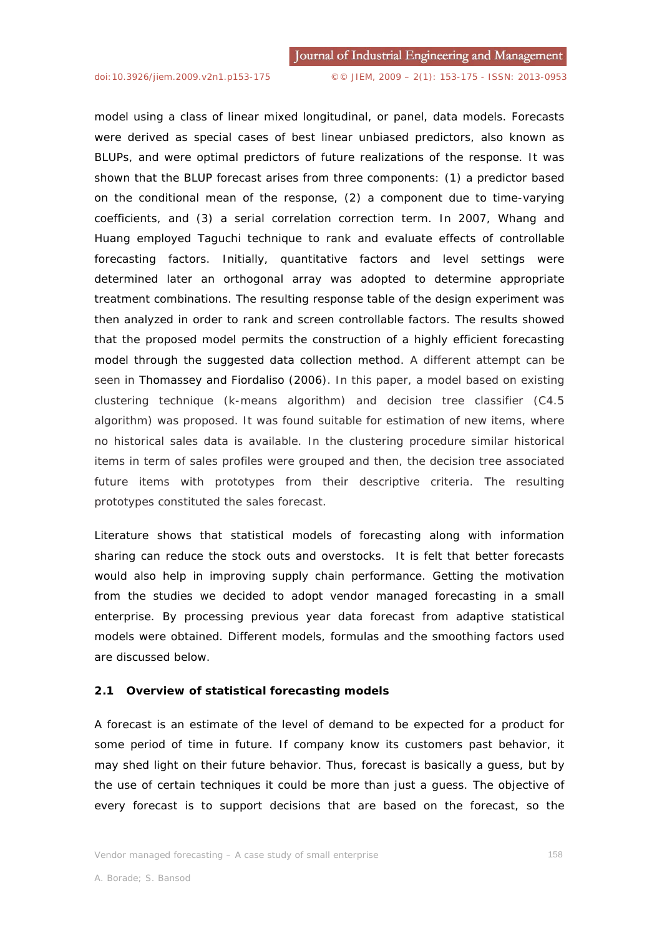model using a class of linear mixed longitudinal, or panel, data models. Forecasts were derived as special cases of best linear unbiased predictors, also known as BLUPs, and were optimal predictors of future realizations of the response. It was shown that the BLUP forecast arises from three components: (1) a predictor based on the conditional mean of the response, (2) a component due to time-varying coefficients, and (3) a serial correlation correction term. In 2007, Whang and Huang employed Taguchi technique to rank and evaluate effects of controllable forecasting factors. Initially, quantitative factors and level settings were determined later an orthogonal array was adopted to determine appropriate treatment combinations. The resulting response table of the design experiment was then analyzed in order to rank and screen controllable factors. The results showed that the proposed model permits the construction of a highly efficient forecasting model through the suggested data collection method. A different attempt can be seen in Thomassey and Fiordaliso (2006). In this paper, a model based on existing clustering technique (k-means algorithm) and decision tree classifier (C4.5 algorithm) was proposed. It was found suitable for estimation of new items, where no historical sales data is available. In the clustering procedure similar historical items in term of sales profiles were grouped and then, the decision tree associated future items with prototypes from their descriptive criteria. The resulting prototypes constituted the sales forecast.

Literature shows that statistical models of forecasting along with information sharing can reduce the stock outs and overstocks. It is felt that better forecasts would also help in improving supply chain performance. Getting the motivation from the studies we decided to adopt vendor managed forecasting in a small enterprise. By processing previous year data forecast from adaptive statistical models were obtained. Different models, formulas and the smoothing factors used are discussed below.

## **2.1 Overview of statistical forecasting models**

A forecast is an estimate of the level of demand to be expected for a product for some period of time in future. If company know its customers past behavior, it may shed light on their future behavior. Thus, forecast is basically a guess, but by the use of certain techniques it could be more than just a guess. The objective of every forecast is to support decisions that are based on the forecast, so the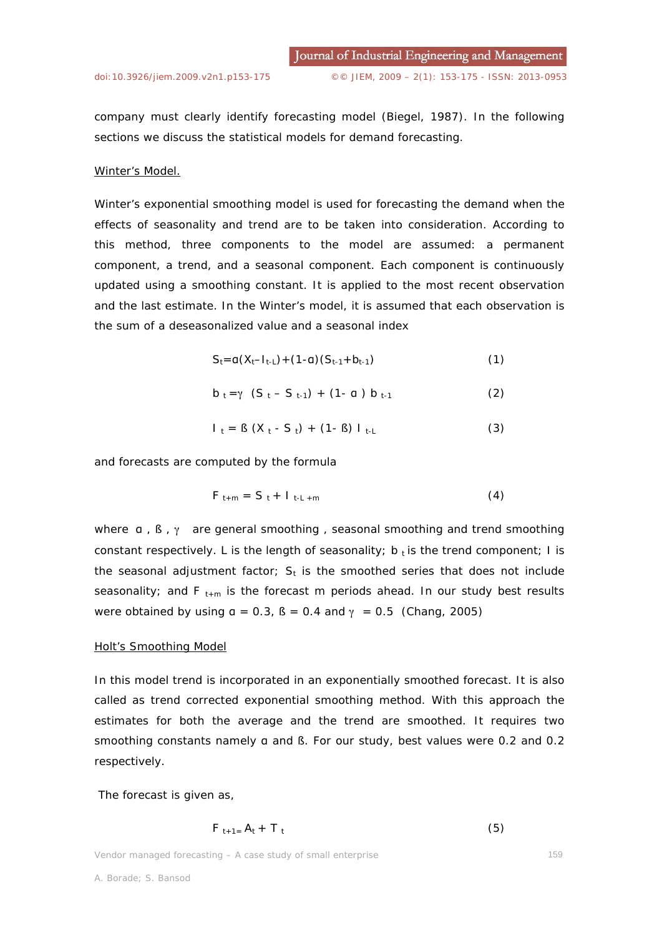company must clearly identify forecasting model (Biegel, 1987). In the following sections we discuss the statistical models for demand forecasting.

#### *Winter's Model.*

Winter's exponential smoothing model is used for forecasting the demand when the effects of seasonality and trend are to be taken into consideration. According to this method, three components to the model are assumed: a permanent component, a trend, and a seasonal component. Each component is continuously updated using a smoothing constant. It is applied to the most recent observation and the last estimate. In the Winter's model, it is assumed that each observation is the sum of a deseasonalized value and a seasonal index

$$
S_t = a(X_t - I_{t-L}) + (1 - a)(S_{t-1} + b_{t-1})
$$
\n(1)

$$
b_t = \gamma (S_t - S_{t-1}) + (1 - a) b_{t-1}
$$
 (2)

$$
I_{t} = B (X_{t} - S_{t}) + (1 - B) I_{t-L}
$$
 (3)

and forecasts are computed by the formula

$$
F_{t+m} = S_t + I_{t-L+m} \tag{4}
$$

where  $a$ ,  $\beta$ ,  $\gamma$  are general smoothing, seasonal smoothing and trend smoothing constant respectively. L is the length of seasonality;  $b_t$  is the trend component; I is the seasonal adjustment factor;  $S_t$  is the smoothed series that does not include seasonality; and F<sub>t+m</sub> is the forecast m periods ahead. In our study best results were obtained by using  $a = 0.3$ ,  $B = 0.4$  and  $\gamma = 0.5$  (Chang, 2005)

### *Holt's Smoothing Model*

In this model trend is incorporated in an exponentially smoothed forecast. It is also called as trend corrected exponential smoothing method. With this approach the estimates for both the average and the trend are smoothed. It requires two smoothing constants namely a and B. For our study, best values were 0.2 and 0.2 respectively.

The forecast is given as,

$$
F_{t+1} = A_t + T_t \tag{5}
$$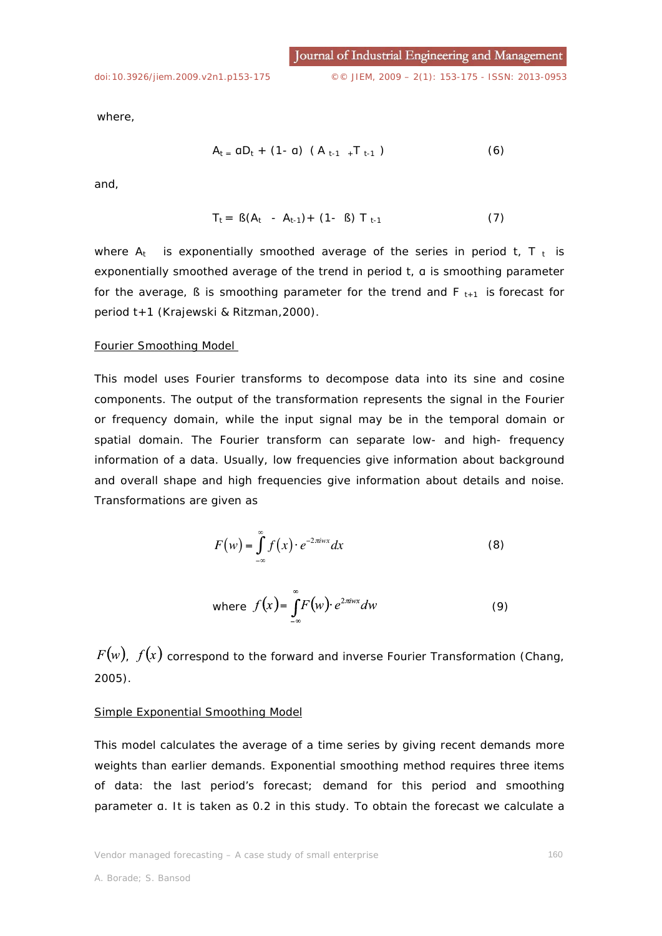where,

$$
A_{t} = aD_{t} + (1 - a) (A_{t-1} + T_{t-1})
$$
 (6)

and,

$$
T_t = \beta(A_t - A_{t-1}) + (1 - \beta) T_{t-1}
$$
 (7)

where  $A_t$  is exponentially smoothed average of the series in period t,  $T_t$  is exponentially smoothed average of the trend in period  $t$ ,  $a$  is smoothing parameter for the average,  $\beta$  is smoothing parameter for the trend and  $F_{t+1}$  is forecast for period t+1 (Krajewski & Ritzman,2000).

#### *Fourier Smoothing Model*

This model uses Fourier transforms to decompose data into its sine and cosine components. The output of the transformation represents the signal in the Fourier or frequency domain, while the input signal may be in the temporal domain or spatial domain. The Fourier transform can separate low- and high- frequency information of a data. Usually, low frequencies give information about background and overall shape and high frequencies give information about details and noise. Transformations are given as

$$
F(w) = \int_{-\infty}^{\infty} f(x) \cdot e^{-2\pi i wx} dx
$$
 (8)

where 
$$
f(x) = \int_{-\infty}^{\infty} F(w) \cdot e^{2\pi iwx} dw
$$
 (9)

 $F(w)$ ,  $f(x)$  correspond to the forward and inverse Fourier Transformation (Chang, 2005).

## *Simple Exponential Smoothing Model*

This model calculates the average of a time series by giving recent demands more weights than earlier demands. Exponential smoothing method requires three items of data: the last period's forecast; demand for this period and smoothing parameter a. It is taken as 0.2 in this study. To obtain the forecast we calculate a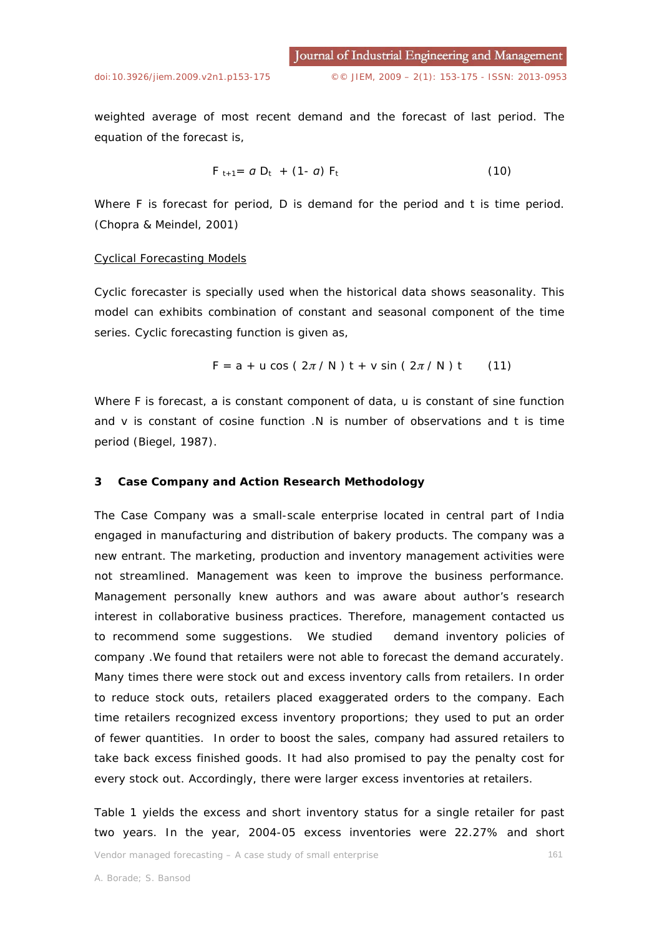weighted average of most recent demand and the forecast of last period. The equation of the forecast is,

$$
F_{t+1} = a D_t + (1-a) F_t \qquad (10)
$$

Where F is forecast for period, D is demand for the period and t is time period. (Chopra & Meindel, 2001)

#### *Cyclical Forecasting Models*

Cyclic forecaster is specially used when the historical data shows seasonality. This model can exhibits combination of constant and seasonal component of the time series. Cyclic forecasting function is given as,

$$
F = a + u \cos (2\pi / N) t + v \sin (2\pi / N) t
$$
 (11)

Where F is forecast*, a* is constant component of data, *u* is constant of sine function and *v* is constant of cosine function .N is number of observations and t is time period (Biegel, 1987).

## **3 Case Company and Action Research Methodology**

The Case Company was a small-scale enterprise located in central part of India engaged in manufacturing and distribution of bakery products. The company was a new entrant. The marketing, production and inventory management activities were not streamlined. Management was keen to improve the business performance. Management personally knew authors and was aware about author's research interest in collaborative business practices. Therefore, management contacted us to recommend some suggestions. We studied demand inventory policies of company .We found that retailers were not able to forecast the demand accurately. Many times there were stock out and excess inventory calls from retailers. In order to reduce stock outs, retailers placed exaggerated orders to the company. Each time retailers recognized excess inventory proportions; they used to put an order of fewer quantities. In order to boost the sales, company had assured retailers to take back excess finished goods. It had also promised to pay the penalty cost for every stock out. Accordingly, there were larger excess inventories at retailers.

Table 1 yields the excess and short inventory status for a single retailer for past two years. In the year, 2004-05 excess inventories were 22.27% and short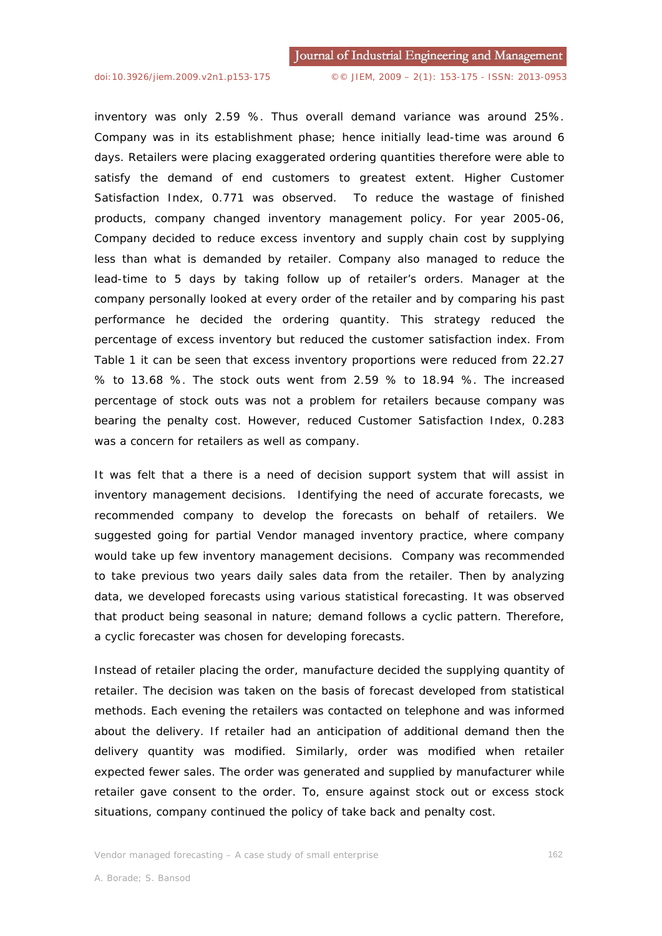inventory was only 2.59 %. Thus overall demand variance was around 25%. Company was in its establishment phase; hence initially lead-time was around 6 days. Retailers were placing exaggerated ordering quantities therefore were able to satisfy the demand of end customers to greatest extent. Higher Customer Satisfaction Index, 0.771 was observed. To reduce the wastage of finished products, company changed inventory management policy. For year 2005-06, Company decided to reduce excess inventory and supply chain cost by supplying less than what is demanded by retailer. Company also managed to reduce the lead-time to 5 days by taking follow up of retailer's orders. Manager at the company personally looked at every order of the retailer and by comparing his past performance he decided the ordering quantity. This strategy reduced the percentage of excess inventory but reduced the customer satisfaction index. From Table 1 it can be seen that excess inventory proportions were reduced from 22.27 % to 13.68 %. The stock outs went from 2.59 % to 18.94 %. The increased percentage of stock outs was not a problem for retailers because company was bearing the penalty cost. However, reduced Customer Satisfaction Index, 0.283 was a concern for retailers as well as company.

It was felt that a there is a need of decision support system that will assist in inventory management decisions. Identifying the need of accurate forecasts, we recommended company to develop the forecasts on behalf of retailers. We suggested going for partial Vendor managed inventory practice, where company would take up few inventory management decisions. Company was recommended to take previous two years daily sales data from the retailer. Then by analyzing data, we developed forecasts using various statistical forecasting. It was observed that product being seasonal in nature; demand follows a cyclic pattern. Therefore, a cyclic forecaster was chosen for developing forecasts.

Instead of retailer placing the order, manufacture decided the supplying quantity of retailer. The decision was taken on the basis of forecast developed from statistical methods. Each evening the retailers was contacted on telephone and was informed about the delivery. If retailer had an anticipation of additional demand then the delivery quantity was modified. Similarly, order was modified when retailer expected fewer sales. The order was generated and supplied by manufacturer while retailer gave consent to the order. To, ensure against stock out or excess stock situations, company continued the policy of take back and penalty cost.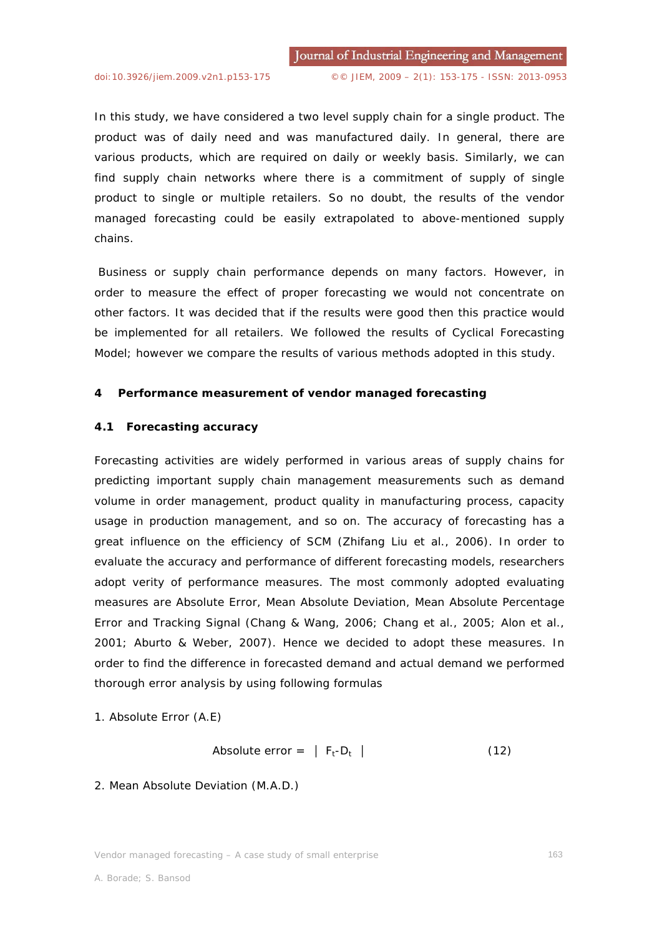In this study, we have considered a two level supply chain for a single product. The product was of daily need and was manufactured daily. In general, there are various products, which are required on daily or weekly basis. Similarly, we can find supply chain networks where there is a commitment of supply of single product to single or multiple retailers. So no doubt, the results of the vendor managed forecasting could be easily extrapolated to above-mentioned supply chains.

 Business or supply chain performance depends on many factors. However, in order to measure the effect of proper forecasting we would not concentrate on other factors. It was decided that if the results were good then this practice would be implemented for all retailers. We followed the results of Cyclical Forecasting Model; however we compare the results of various methods adopted in this study.

### **4 Performance measurement of vendor managed forecasting**

#### **4.1 Forecasting accuracy**

Forecasting activities are widely performed in various areas of supply chains for predicting important supply chain management measurements such as demand volume in order management, product quality in manufacturing process, capacity usage in production management, and so on. The accuracy of forecasting has a great influence on the efficiency of SCM (Zhifang Liu et al., 2006). In order to evaluate the accuracy and performance of different forecasting models, researchers adopt verity of performance measures. The most commonly adopted evaluating measures are Absolute Error, Mean Absolute Deviation, Mean Absolute Percentage Error and Tracking Signal (Chang & Wang, 2006; Chang et al., 2005; Alon et al., 2001; Aburto & Weber, 2007). Hence we decided to adopt these measures. In order to find the difference in forecasted demand and actual demand we performed thorough error analysis by using following formulas

1. Absolute Error (A.E)

Absolute error = 
$$
|F_t - D_t|
$$
 (12)

## 2. Mean Absolute Deviation (M.A.D.)

Vendor managed forecasting – A case study of small enterprise 163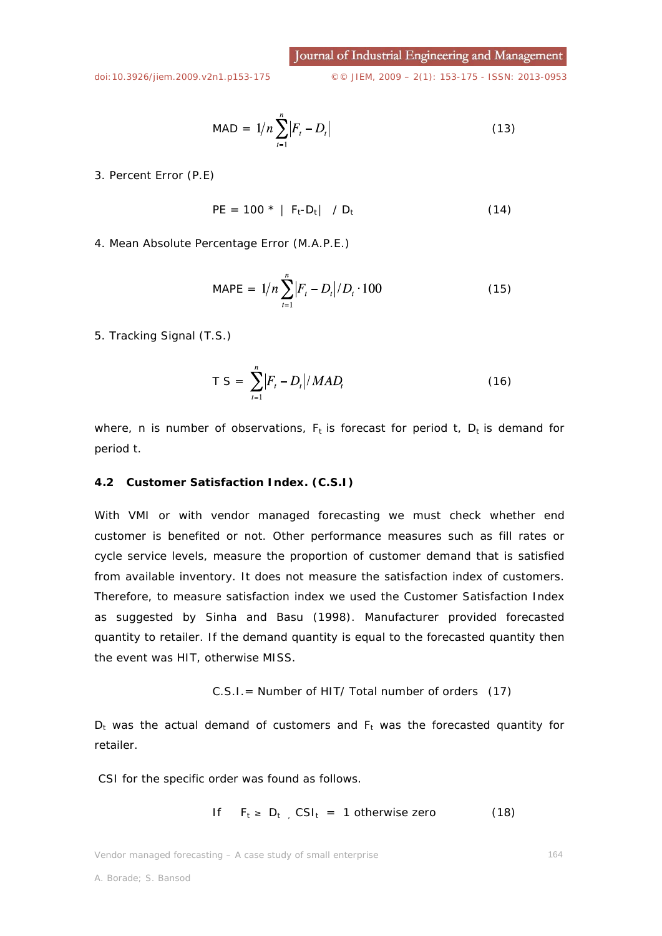Journal of Industrial Engineering and Management

[doi:10.3926/jiem.2009.v2n1.p153-175](http://dx.doi.org/10.3926/jiem.2009.v2n1.p153-175) ©© JIEM, 2009 – 2(1): 153-175 - ISSN: 2013-0953

$$
MAD = 1/n \sum_{t=1}^{n} |F_t - D_t|
$$
 (13)

3. Percent Error (P.E)

$$
PE = 100 * |F_t - D_t| / D_t
$$
 (14)

4. Mean Absolute Percentage Error (M.A.P.E.)

$$
MAPE = 1/n \sum_{t=1}^{n} |F_t - D_t| / D_t \cdot 100
$$
 (15)

5. Tracking Signal (T.S.)

$$
T S = \sum_{t=1}^{n} |F_t - D_t| / MAD_t
$$
 (16)

where, n is number of observations,  $F_t$  is forecast for period t,  $D_t$  is demand for period t.

## **4.2 Customer Satisfaction Index. (C.S.I)**

With VMI or with vendor managed forecasting we must check whether end customer is benefited or not. Other performance measures such as fill rates or cycle service levels, measure the proportion of customer demand that is satisfied from available inventory. It does not measure the satisfaction index of customers. Therefore, to measure satisfaction index we used the Customer Satisfaction Index as suggested by Sinha and Basu (1998). Manufacturer provided forecasted quantity to retailer. If the demand quantity is equal to the forecasted quantity then the event was HIT, otherwise MISS.

C.S.I.= Number of HIT/ Total number of orders (17)

 $D_t$  was the actual demand of customers and  $F_t$  was the forecasted quantity for retailer.

CSI for the specific order was found as follows.

If 
$$
F_t \ge D_t
$$
,  $CSI_t = 1$  otherwise zero (18)

Vendor managed forecasting – A case study of small enterprise 164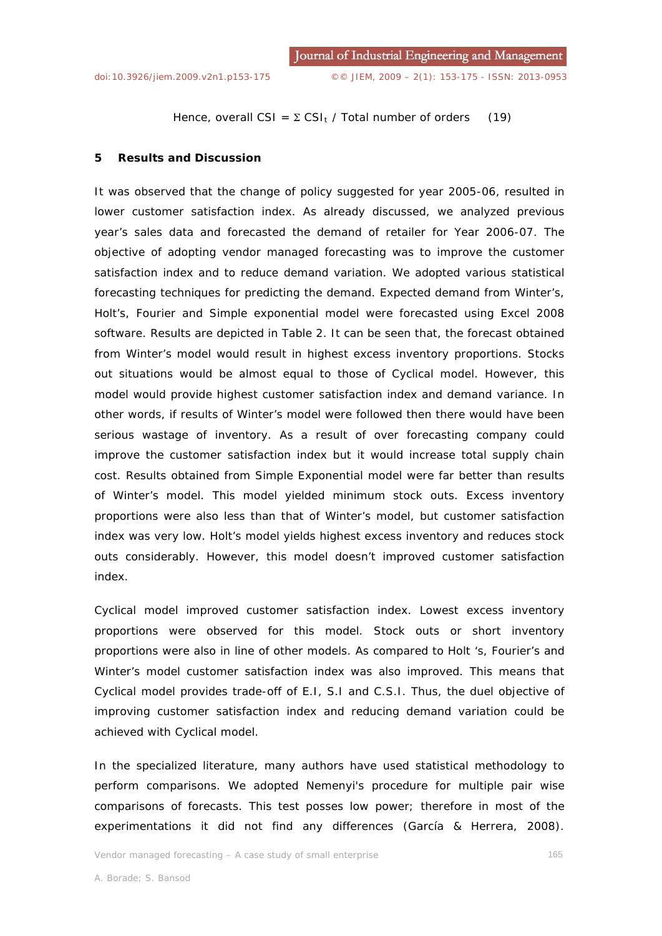Hence, overall CSI =  $\Sigma$  CSI<sub>t</sub> / Total number of orders (19)

### **5 Results and Discussion**

It was observed that the change of policy suggested for year 2005-06, resulted in lower customer satisfaction index. As already discussed, we analyzed previous year's sales data and forecasted the demand of retailer for Year 2006-07. The objective of adopting vendor managed forecasting was to improve the customer satisfaction index and to reduce demand variation. We adopted various statistical forecasting techniques for predicting the demand. Expected demand from Winter's, Holt's, Fourier and Simple exponential model were forecasted using Excel 2008 software. Results are depicted in Table 2. It can be seen that, the forecast obtained from Winter's model would result in highest excess inventory proportions. Stocks out situations would be almost equal to those of Cyclical model. However, this model would provide highest customer satisfaction index and demand variance. In other words, if results of Winter's model were followed then there would have been serious wastage of inventory. As a result of over forecasting company could improve the customer satisfaction index but it would increase total supply chain cost. Results obtained from Simple Exponential model were far better than results of Winter's model. This model yielded minimum stock outs. Excess inventory proportions were also less than that of Winter's model, but customer satisfaction index was very low. Holt's model yields highest excess inventory and reduces stock outs considerably. However, this model doesn't improved customer satisfaction index.

Cyclical model improved customer satisfaction index. Lowest excess inventory proportions were observed for this model. Stock outs or short inventory proportions were also in line of other models. As compared to Holt 's, Fourier's and Winter's model customer satisfaction index was also improved. This means that Cyclical model provides trade-off of E.I, S.I and C.S.I. Thus, the duel objective of improving customer satisfaction index and reducing demand variation could be achieved with Cyclical model.

In the specialized literature, many authors have used statistical methodology to perform comparisons. We adopted Nemenyi's procedure for multiple pair wise comparisons of forecasts. This test posses low power; therefore in most of the experimentations it did not find any differences (García & Herrera, 2008).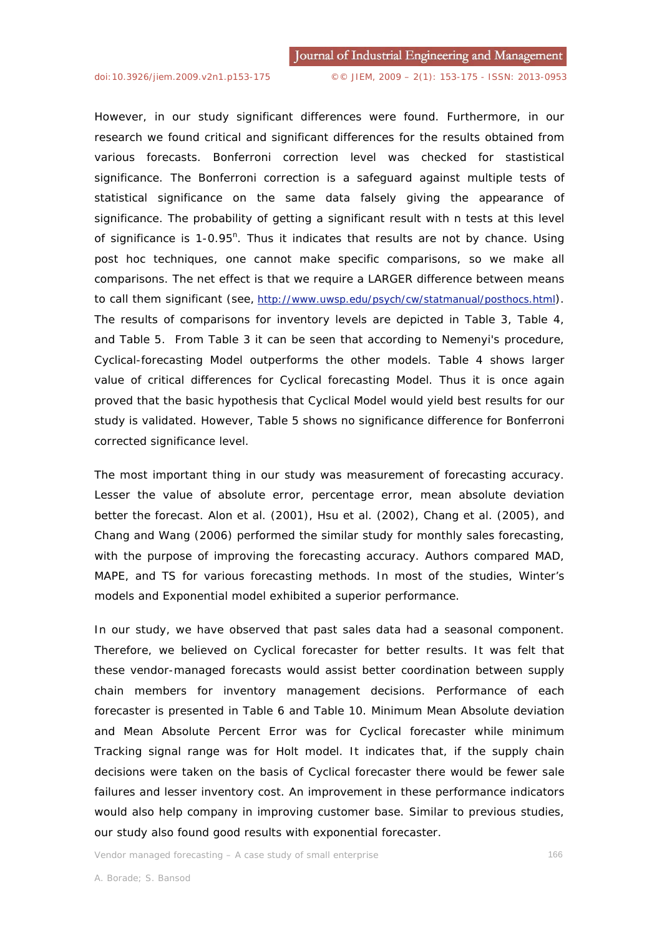However, in our study significant differences were found. Furthermore, in our research we found critical and significant differences for the results obtained from various forecasts. Bonferroni correction level was checked for stastistical significance. The Bonferroni correction is a safeguard against multiple tests of statistical significance on the same data falsely giving the appearance of significance. The probability of getting a significant result with *n* tests at this level of significance is 1-0.95<sup>n</sup>. Thus it indicates that results are not by chance. Using post hoc techniques, one cannot make specific comparisons, so we make all comparisons. The net effect is that we require a LARGER difference between means to call them significant (see, *http://www.uwsp.edu/psych/cw/statmanual/posthocs.html*). The results of comparisons for inventory levels are depicted in Table 3, Table 4, and Table 5. From Table 3 it can be seen that according to Nemenyi's procedure, Cyclical-forecasting Model outperforms the other models. Table 4 shows larger value of critical differences for Cyclical forecasting Model. Thus it is once again proved that the basic hypothesis that Cyclical Model would yield best results for our study is validated. However, Table 5 shows no significance difference for Bonferroni corrected significance level.

The most important thing in our study was measurement of forecasting accuracy. Lesser the value of absolute error, percentage error, mean absolute deviation better the forecast. Alon et al. (2001), Hsu et al. (2002), Chang et al. (2005), and Chang and Wang (2006) performed the similar study for monthly sales forecasting, with the purpose of improving the forecasting accuracy. Authors compared MAD, MAPE, and TS for various forecasting methods. In most of the studies, Winter's models and Exponential model exhibited a superior performance.

In our study, we have observed that past sales data had a seasonal component. Therefore, we believed on Cyclical forecaster for better results. It was felt that these vendor-managed forecasts would assist better coordination between supply chain members for inventory management decisions. Performance of each forecaster is presented in Table 6 and Table 10. Minimum Mean Absolute deviation and Mean Absolute Percent Error was for Cyclical forecaster while minimum Tracking signal range was for Holt model. It indicates that, if the supply chain decisions were taken on the basis of Cyclical forecaster there would be fewer sale failures and lesser inventory cost. An improvement in these performance indicators would also help company in improving customer base. Similar to previous studies, our study also found good results with exponential forecaster.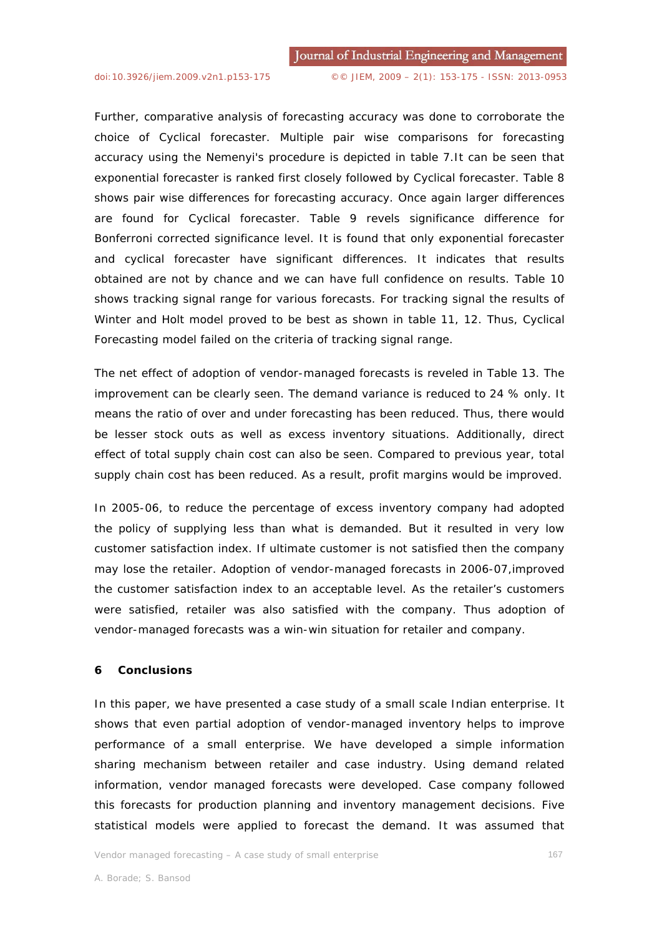Further, comparative analysis of forecasting accuracy was done to corroborate the choice of Cyclical forecaster. Multiple pair wise comparisons for forecasting accuracy using the Nemenyi's procedure is depicted in table 7.It can be seen that exponential forecaster is ranked first closely followed by Cyclical forecaster. Table 8 shows pair wise differences for forecasting accuracy. Once again larger differences are found for Cyclical forecaster. Table 9 revels significance difference for Bonferroni corrected significance level. It is found that only exponential forecaster and cyclical forecaster have significant differences. It indicates that results obtained are not by chance and we can have full confidence on results. Table 10 shows tracking signal range for various forecasts. For tracking signal the results of Winter and Holt model proved to be best as shown in table 11, 12. Thus, Cyclical Forecasting model failed on the criteria of tracking signal range.

The net effect of adoption of vendor-managed forecasts is reveled in Table 13. The improvement can be clearly seen. The demand variance is reduced to 24 % only. It means the ratio of over and under forecasting has been reduced. Thus, there would be lesser stock outs as well as excess inventory situations. Additionally, direct effect of total supply chain cost can also be seen. Compared to previous year, total supply chain cost has been reduced. As a result, profit margins would be improved.

In 2005-06, to reduce the percentage of excess inventory company had adopted the policy of supplying less than what is demanded. But it resulted in very low customer satisfaction index. If ultimate customer is not satisfied then the company may lose the retailer. Adoption of vendor-managed forecasts in 2006-07,improved the customer satisfaction index to an acceptable level. As the retailer's customers were satisfied, retailer was also satisfied with the company. Thus adoption of vendor-managed forecasts was a win-win situation for retailer and company.

### **6 Conclusions**

In this paper, we have presented a case study of a small scale Indian enterprise. It shows that even partial adoption of vendor-managed inventory helps to improve performance of a small enterprise. We have developed a simple information sharing mechanism between retailer and case industry. Using demand related information, vendor managed forecasts were developed. Case company followed this forecasts for production planning and inventory management decisions. Five statistical models were applied to forecast the demand. It was assumed that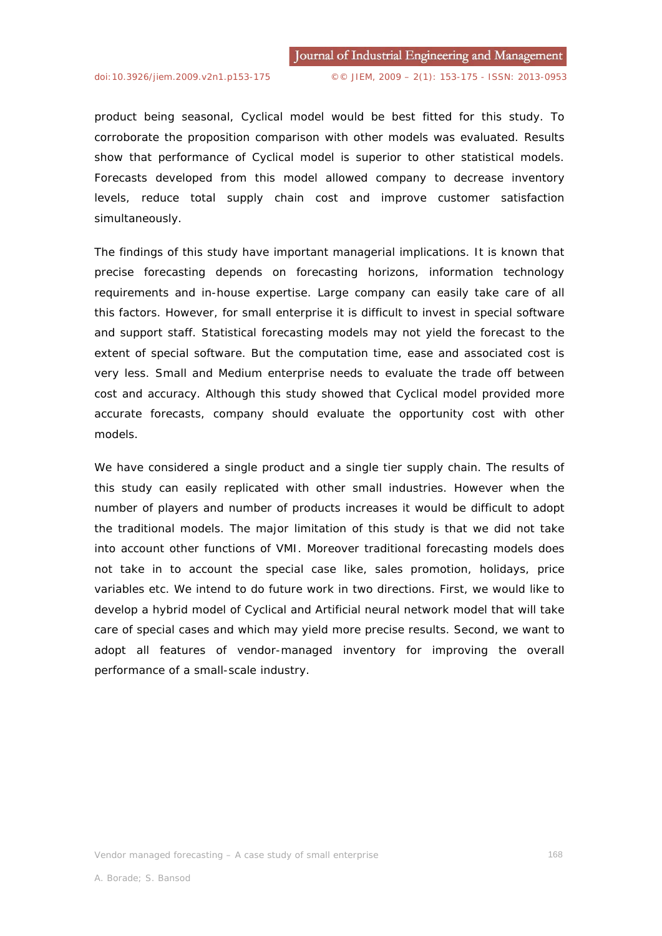product being seasonal, Cyclical model would be best fitted for this study. To corroborate the proposition comparison with other models was evaluated. Results show that performance of Cyclical model is superior to other statistical models. Forecasts developed from this model allowed company to decrease inventory levels, reduce total supply chain cost and improve customer satisfaction simultaneously.

The findings of this study have important managerial implications. It is known that precise forecasting depends on forecasting horizons, information technology requirements and in-house expertise. Large company can easily take care of all this factors. However, for small enterprise it is difficult to invest in special software and support staff. Statistical forecasting models may not yield the forecast to the extent of special software. But the computation time, ease and associated cost is very less. Small and Medium enterprise needs to evaluate the trade off between cost and accuracy. Although this study showed that Cyclical model provided more accurate forecasts, company should evaluate the opportunity cost with other models.

We have considered a single product and a single tier supply chain. The results of this study can easily replicated with other small industries. However when the number of players and number of products increases it would be difficult to adopt the traditional models. The major limitation of this study is that we did not take into account other functions of VMI. Moreover traditional forecasting models does not take in to account the special case like, sales promotion, holidays, price variables etc. We intend to do future work in two directions. First, we would like to develop a hybrid model of Cyclical and Artificial neural network model that will take care of special cases and which may yield more precise results. Second, we want to adopt all features of vendor-managed inventory for improving the overall performance of a small-scale industry.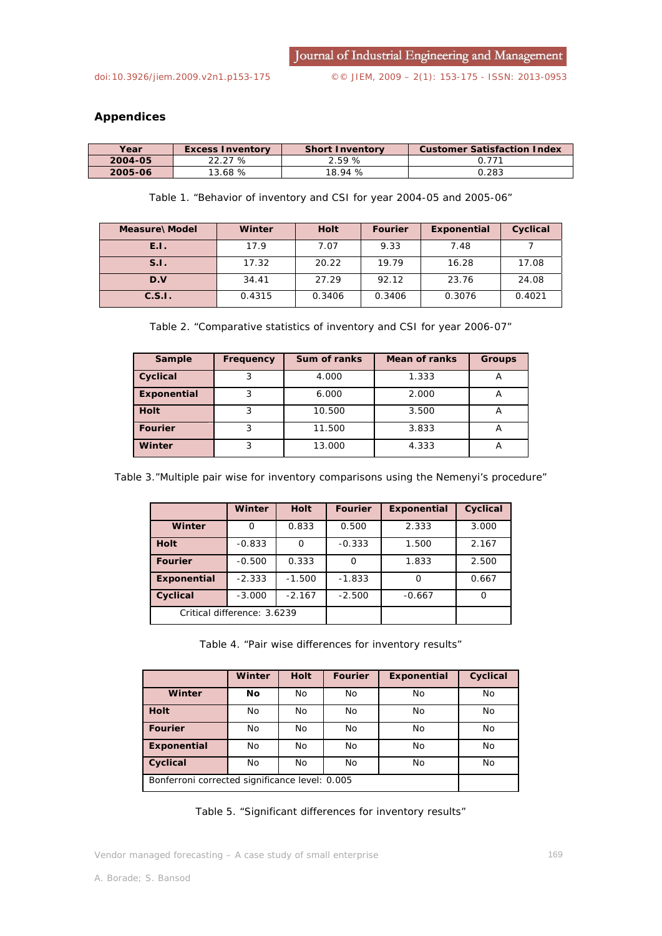## **Appendices**

| Year    | <b>Excess Inventory</b> | <b>Short Inventory</b> | <b>Customer Satisfaction Index</b> |
|---------|-------------------------|------------------------|------------------------------------|
| 2004-05 | 22.27 %                 | 2.59%                  | 0.771                              |
| 2005-06 | 13.68%                  | 18.94 %                | 0.283                              |

Table 1. "Behavior of inventory and CSI for year 2004-05 and 2005-06"

| Measure\Model | Winter | <b>Holt</b> | <b>Fourier</b> | Exponential | Cyclical |
|---------------|--------|-------------|----------------|-------------|----------|
| E.I.          | 17.9   | 7.07        | 9.33           | 7.48        |          |
| S.I.          | 17.32  | 20.22       | 19.79          | 16.28       | 17.08    |
| D.V           | 34.41  | 27.29       | 92.12          | 23.76       | 24.08    |
| C.S.I.        | 0.4315 | 0.3406      | 0.3406         | 0.3076      | 0.4021   |

Table 2. "Comparative statistics of inventory and CSI for year 2006-07"

| Sample         | <b>Frequency</b> | Sum of ranks | Mean of ranks | <b>Groups</b> |
|----------------|------------------|--------------|---------------|---------------|
| Cyclical       | 3                | 4.000        | 1.333         |               |
| Exponential    | 3                | 6.000        | 2.000         |               |
| <b>Holt</b>    | 3                | 10.500       | 3.500         |               |
| <b>Fourier</b> | 3                | 11.500       | 3.833         |               |
| Winter         | 3                | 13.000       | 4.333         |               |

Table 3."Multiple pair wise for inventory comparisons using the Nemenyi's procedure"

|                             | Winter   | <b>Holt</b> | <b>Fourier</b> | <b>Exponential</b> | Cyclical |
|-----------------------------|----------|-------------|----------------|--------------------|----------|
| Winter                      | Ω        | 0.833       | 0.500          | 2.333              | 3.000    |
| <b>Holt</b>                 | $-0.833$ | O           | $-0.333$       | 1.500              | 2.167    |
| <b>Fourier</b>              | $-0.500$ | 0.333       | O              | 1.833              | 2.500    |
| Exponential                 | $-2.333$ | $-1.500$    | $-1.833$       | O                  | 0.667    |
| Cyclical                    | $-3.000$ | $-2.167$    | $-2.500$       | $-0.667$           |          |
| Critical difference: 3.6239 |          |             |                |                    |          |

Table 4. "Pair wise differences for inventory results"

|                                                | Winter    | <b>Holt</b> | <b>Fourier</b> | Exponential | Cyclical |
|------------------------------------------------|-----------|-------------|----------------|-------------|----------|
| Winter                                         | <b>No</b> | <b>No</b>   | No             | No          | No       |
| <b>Holt</b>                                    | No        | <b>No</b>   | No             | No          | No       |
| <b>Fourier</b>                                 | No        | <b>No</b>   | <b>No</b>      | No          | No       |
| Exponential                                    | No        | <b>No</b>   | No             | No          | No       |
| Cyclical                                       | No        | <b>No</b>   | No             | No          | No       |
| Bonferroni corrected significance level: 0.005 |           |             |                |             |          |

Table 5. "Significant differences for inventory results"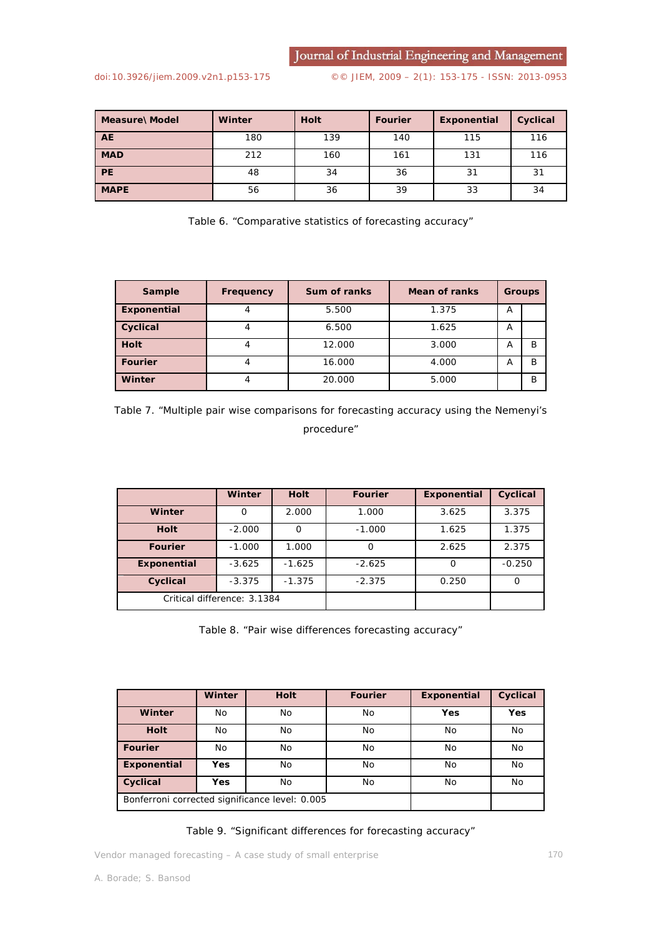Journal of Industrial Engineering and Management

[doi:10.3926/jiem.2009.v2n1.p153-175](http://dx.doi.org/10.3926/jiem.2009.v2n1.p153-175) ©© JIEM, 2009 – 2(1): 153-175 - ISSN: 2013-0953

| Measure\Model | Winter | <b>Holt</b> | <b>Fourier</b> | Exponential | Cyclical |
|---------------|--------|-------------|----------------|-------------|----------|
| <b>AE</b>     | 180    | 139         | 140            | 115         | 116      |
| <b>MAD</b>    | 212    | 160         | 161            | 131         | 116      |
| <b>PE</b>     | 48     | 34          | 36             | 31          | 31       |
| <b>MAPE</b>   | 56     | 36          | 39             | 33          | 34       |

Table 6. "Comparative statistics of forecasting accuracy"

| Sample         | Frequency | <b>Sum of ranks</b> | <b>Mean of ranks</b> | <b>Groups</b> |   |
|----------------|-----------|---------------------|----------------------|---------------|---|
| Exponential    |           | 5.500               | 1.375                | A             |   |
| Cyclical       |           | 6.500               | 1.625                | A             |   |
| <b>Holt</b>    |           | 12.000              | 3.000                | А             | B |
| <b>Fourier</b> |           | 16.000              | 4.000                | A             | B |
| Winter         |           | 20.000              | 5.000                |               | B |



|                             | <b>Winter</b> | <b>Holt</b> | <b>Fourier</b> | Exponential | Cyclical |
|-----------------------------|---------------|-------------|----------------|-------------|----------|
| Winter                      | Ο             | 2.000       | 1.000          | 3.625       | 3.375    |
| <b>Holt</b>                 | $-2.000$      | O           | $-1.000$       | 1.625       | 1.375    |
| <b>Fourier</b>              | $-1.000$      | 1.000       |                | 2.625       | 2.375    |
| Exponential                 | $-3.625$      | $-1.625$    | $-2.625$       |             | $-0.250$ |
| Cyclical                    | $-3.375$      | $-1.375$    | $-2.375$       | 0.250       |          |
| Critical difference: 3.1384 |               |             |                |             |          |

Table 8. "Pair wise differences forecasting accuracy"

|                                                | <b>Winter</b> | <b>Holt</b> | <b>Fourier</b> | Exponential | Cyclical |
|------------------------------------------------|---------------|-------------|----------------|-------------|----------|
| Winter                                         | No            | No          | No             | <b>Yes</b>  | Yes      |
| <b>Holt</b>                                    | No            | No          | No             | No          | No       |
| <b>Fourier</b>                                 | No            | No          | No             | No          | No       |
| Exponential                                    | <b>Yes</b>    | No          | No             | No          | No       |
| Cyclical                                       | Yes           | No.         | No             | No          | No       |
| Bonferroni corrected significance level: 0.005 |               |             |                |             |          |

## Table 9. "Significant differences for forecasting accuracy"

Vendor managed forecasting – A case study of small enterprise 170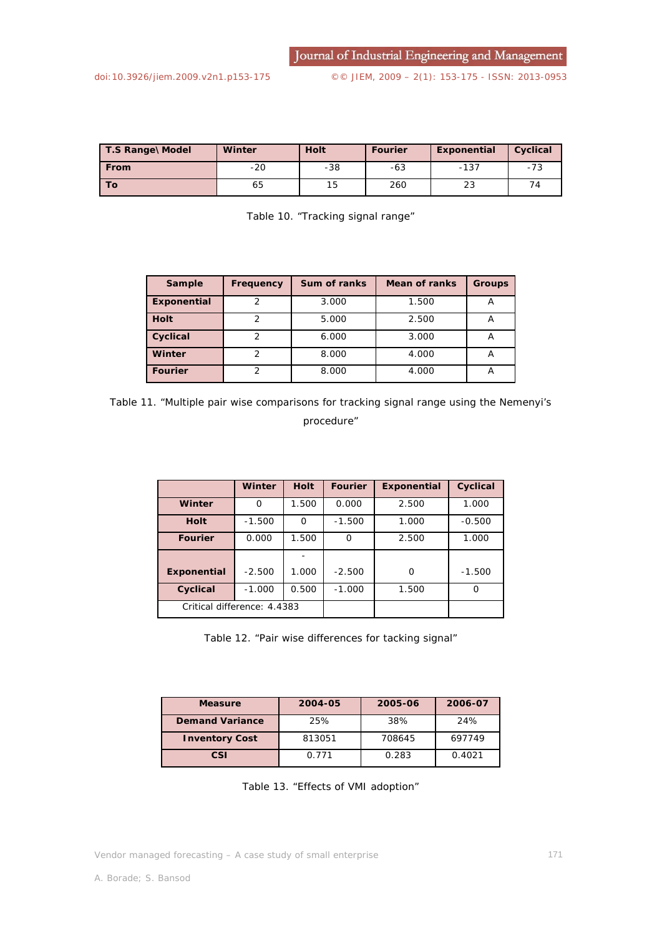| T.S Range\Model | Winter | <b>Holt</b> | <b>Fourier</b> | Exponential | Cyclical |
|-----------------|--------|-------------|----------------|-------------|----------|
| <b>From</b>     | $-20$  | $-38$       | $-63$          | $-137$      | -73      |
| To.             | 65     | 15          | 260            | 23          |          |

| Table 10. "Tracking signal range" |  |
|-----------------------------------|--|
|                                   |  |

| <b>Sample</b>  | Frequency | <b>Sum of ranks</b> | <b>Mean of ranks</b> | <b>Groups</b> |
|----------------|-----------|---------------------|----------------------|---------------|
| Exponential    | 2         | 3.000               | 1.500                | A             |
| <b>Holt</b>    | 2         | 5.000               | 2.500                | $\mathsf{H}$  |
| Cyclical       | っ         | 6.000               | 3.000                | Α             |
| Winter         |           | 8.000               | 4.000                | n             |
| <b>Fourier</b> |           | 8.000               | 4.000                | Ħ             |

Table 11. "Multiple pair wise comparisons for tracking signal range using the Nemenyi's procedure"

|                             | Winter   | <b>Holt</b> | <b>Fourier</b> | Exponential | Cyclical |
|-----------------------------|----------|-------------|----------------|-------------|----------|
| Winter                      | $\Omega$ | 1.500       | 0.000          | 2.500       | 1.000    |
| <b>Holt</b>                 | $-1.500$ | $\Omega$    | $-1.500$       | 1.000       | $-0.500$ |
| <b>Fourier</b>              | 0.000    | 1.500       | O              | 2.500       | 1.000    |
|                             |          |             |                |             |          |
| Exponential                 | $-2.500$ | 1.000       | $-2.500$       | $\Omega$    | $-1.500$ |
| Cyclical                    | $-1.000$ | 0.500       | $-1.000$       | 1.500       | ∩        |
| Critical difference: 4.4383 |          |             |                |             |          |

Table 12. "Pair wise differences for tacking signal"

| <b>Measure</b>         | 2004-05 | 2005-06 | 2006-07 |
|------------------------|---------|---------|---------|
| <b>Demand Variance</b> | 25%     | 38%     | 24%     |
| <b>Inventory Cost</b>  | 813051  | 708645  | 697749  |
| CSI                    | 0.771   | 0.283   | 0.4021  |

Table 13. "Effects of VMI adoption"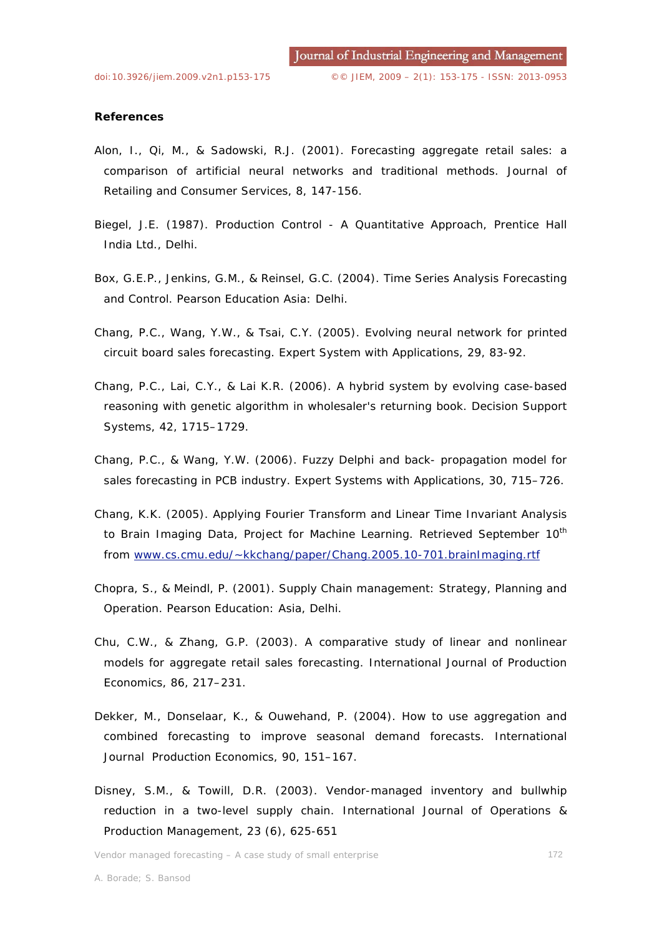## **References**

- Alon, I., Qi, M., & Sadowski, R.J. (2001). Forecasting aggregate retail sales: a comparison of artificial neural networks and traditional methods. *Journal of Retailing and Consumer Services,* 8, 147-156.
- Biegel, J.E. (1987). *Production Control A Quantitative Approach*, Prentice Hall India Ltd., Delhi.
- Box, G.E.P., Jenkins, G.M., & Reinsel, G.C. (2004). *Time Series Analysis Forecasting and Control*. Pearson Education Asia: Delhi.
- Chang, P.C., Wang, Y.W., & Tsai, C.Y. (2005). Evolving neural network for printed circuit board sales forecasting*. Expert System with Applications*, 29, 83-92.
- Chang, P.C., Lai, C.Y., & Lai K.R. (2006). A hybrid system by evolving case-based reasoning with genetic algorithm in wholesaler's returning book. *Decision Support Systems*, 42, 1715–1729.
- Chang, P.C., & Wang, Y.W. (2006). Fuzzy Delphi and back- propagation model for sales forecasting in PCB industry. *Expert Systems with Applications*, 30, 715–726.
- Chang, K.K. (2005). Applying Fourier Transform and Linear Time Invariant Analysis to Brain Imaging Data, Project for Machine Learning. Retrieved September 10<sup>th</sup> from www.cs.cmu.edu/~kkchang/paper/Chang.2005.10-701.brainImaging.rtf
- Chopra, S., & Meindl, P. (2001). *Supply Chain management: Strategy, Planning and Operation*. Pearson Education: Asia, Delhi.
- Chu, C.W., & Zhang, G.P. (2003). A comparative study of linear and nonlinear models for aggregate retail sales forecasting*. International Journal of Production Economics*, 86, 217–231.
- Dekker, M., Donselaar, K., & Ouwehand, P. (2004). How to use aggregation and combined forecasting to improve seasonal demand forecasts. *International Journal Production Economics*, 90, 151–167.
- Disney, S.M., & Towill, D.R. (2003). Vendor-managed inventory and bullwhip reduction in a two-level supply chain. *International Journal of Operations & Production Management*, 23 (6), 625-651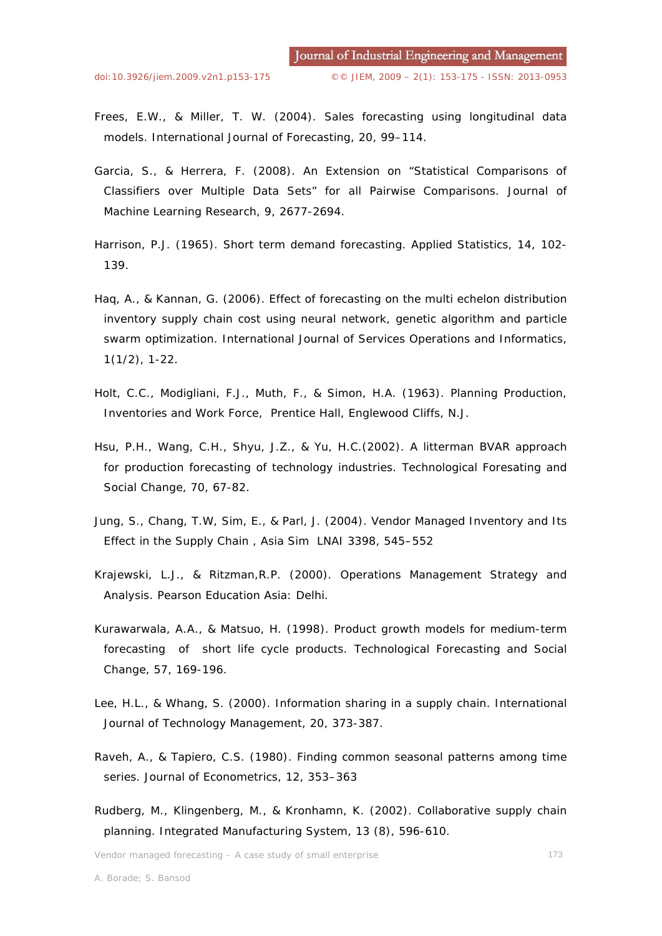- Frees, E.W., & Miller, T. W. (2004). Sales forecasting using longitudinal data models. *International Journal of Forecasting*, 20, 99–114.
- Garcia, S., & Herrera, F. (2008). An Extension on "Statistical Comparisons of Classifiers over Multiple Data Sets" for all Pairwise Comparisons. *Journal of Machine Learning Research*, 9, 2677-2694.
- Harrison, P.J. (1965). Short term demand forecasting. *Applied Statistics*, 14, 102- 139.
- Haq, A., & Kannan, G. (2006). Effect of forecasting on the multi echelon distribution inventory supply chain cost using neural network, genetic algorithm and particle swarm optimization. *International Journal of Services Operations and Informatics*, 1(1/2), 1-22.
- Holt, C.C., Modigliani, F.J., Muth, F., & Simon, H.A. (1963). *Planning Production, Inventories and Work Force*, Prentice Hall, Englewood Cliffs, N.J.
- Hsu, P.H., Wang, C.H., Shyu, J.Z., & Yu, H.C.(2002). A litterman BVAR approach for production forecasting of technology industries. *Technological Foresating and Social Change*, 70, 67-82.
- Jung, S., Chang, T.W, Sim, E., & Parl, J. (2004). Vendor *Managed* Inventory and Its Effect in the Supply Chain , *Asia Sim LNAI 3398*, 545–552
- Krajewski, L.J., & Ritzman,R.P. (2000). *Operations Management Strategy and Analysis*. Pearson Education Asia: Delhi.
- Kurawarwala, A.A., & Matsuo, H. (1998). Product growth models for medium-term forecasting of short life cycle products. *Technological Forecasting and Social Change*, 57, 169-196.
- Lee, H.L., & Whang, S. (2000). Information sharing in a supply chain. *International Journal of Technology Management*, 20, 373-387.
- Raveh, A., & Tapiero, C.S. (1980). Finding common seasonal patterns among time series. *Journal of Econometrics*, 12, 353–363
- Rudberg, M., Klingenberg, M., & Kronhamn, K. (2002). Collaborative supply chain planning. *Integrated Manufacturing System*, 13 (8), 596-610.

Vendor managed forecasting – A case study of small enterprise 173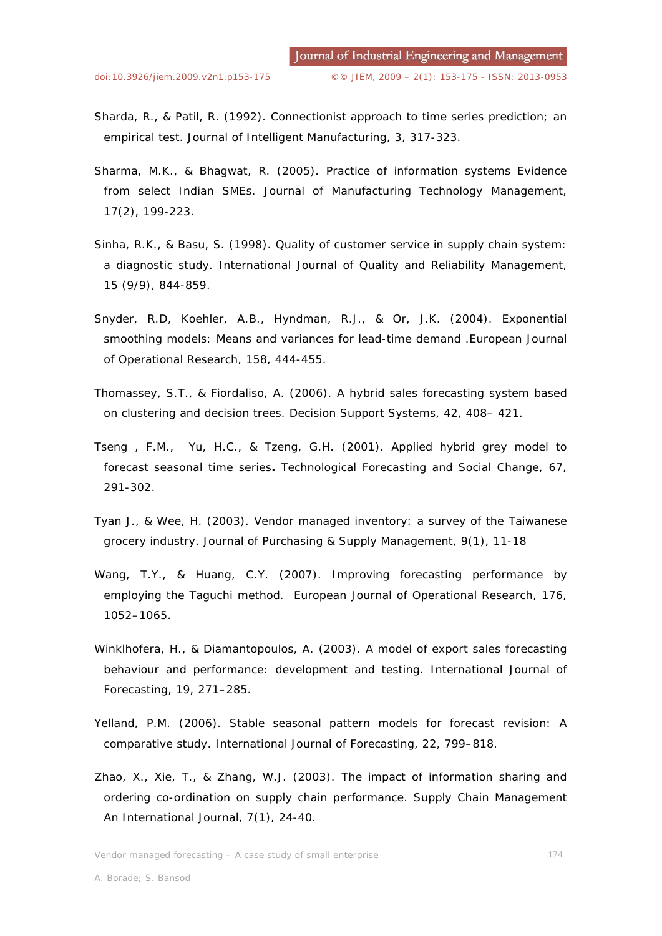- Sharda, R., & Patil, R. (1992). Connectionist approach to time series prediction; an empirical test. *Journal of Intelligent Manufacturing*, 3, 317-323.
- Sharma, M.K., & Bhagwat, R. (2005). Practice of information systems Evidence from select Indian SMEs. *Journal of Manufacturing Technology Management*, 17(2), 199-223.
- Sinha, R.K., & Basu, S. (1998). Quality of customer service in supply chain system: a diagnostic study. *International Journal of Quality and Reliability Management*, 15 (9/9), 844-859.
- Snyder, R.D, Koehler, A.B., Hyndman, R.J., & Or, J.K. (2004). Exponential smoothing models: Means and variances for lead-time demand .*European Journal of Operational Research*, 158, 444-455.
- Thomassey, S.T., & Fiordaliso, A. (2006). A hybrid sales forecasting system based on clustering and decision trees. *Decision Support Systems*, 42, 408– 421.
- Tseng , F.M., Yu, H.C., & Tzeng, G.H. (2001). Applied hybrid grey model to forecast seasonal time series*. Technological Forecasting and Social Change*, 67, 291-302.
- Tyan J., & Wee, H. (2003). Vendor managed inventory: a survey of the Taiwanese grocery industry. Journal of Purchasing & Supply Management, 9(1), 11-18
- Wang, T.Y., & Huang, C.Y. (2007). *Improving forecasting performance by employing the Taguchi method*. *European Journal of Operational Research*, 176, 1052–1065.
- Winklhofera, H., & Diamantopoulos, A. (2003). A model of export sales forecasting behaviour and performance: development and testing. *International Journal of Forecasting*, 19, 271–285.
- Yelland, P.M. (2006). Stable seasonal pattern models for forecast revision: A comparative study. *International Journal of Forecasting*, 22, 799–818.
- Zhao, X., Xie, T., & Zhang, W.J. (2003). The impact of information sharing and ordering co-ordination on supply chain performance. *Supply Chain Management An International Journal*, 7(1), 24-40.